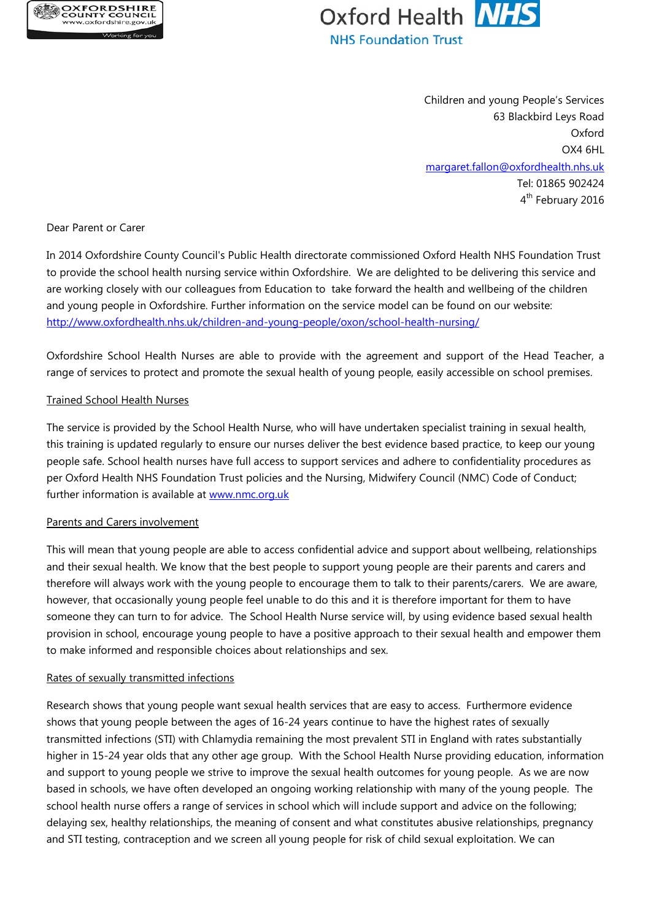



Children and young People's Services 63 Blackbird Leys Road Oxford OX4 6HL [margaret.fallon@oxfordhealth.nhs.uk](mailto:margaret.fallon@oxfordhealth.nhs.uk) Tel: 01865 902424 4<sup>th</sup> February 2016

Dear Parent or Carer

In 2014 Oxfordshire County Council's Public Health directorate commissioned Oxford Health NHS Foundation Trust to provide the school health nursing service within Oxfordshire. We are delighted to be delivering this service and are working closely with our colleagues from Education to take forward the health and wellbeing of the children and young people in Oxfordshire. Further information on the service model can be found on our website: <http://www.oxfordhealth.nhs.uk/children-and-young-people/oxon/school-health-nursing/>

Oxfordshire School Health Nurses are able to provide with the agreement and support of the Head Teacher, a range of services to protect and promote the sexual health of young people, easily accessible on school premises.

# Trained School Health Nurses

The service is provided by the School Health Nurse, who will have undertaken specialist training in sexual health, this training is updated regularly to ensure our nurses deliver the best evidence based practice, to keep our young people safe. School health nurses have full access to support services and adhere to confidentiality procedures as per Oxford Health NHS Foundation Trust policies and the Nursing, Midwifery Council (NMC) Code of Conduct; further information is available at [www.nmc.org.uk](http://www.nmc.org.uk/)

## Parents and Carers involvement

This will mean that young people are able to access confidential advice and support about wellbeing, relationships and their sexual health. We know that the best people to support young people are their parents and carers and therefore will always work with the young people to encourage them to talk to their parents/carers. We are aware, however, that occasionally young people feel unable to do this and it is therefore important for them to have someone they can turn to for advice. The School Health Nurse service will, by using evidence based sexual health provision in school, encourage young people to have a positive approach to their sexual health and empower them to make informed and responsible choices about relationships and sex.

## Rates of sexually transmitted infections

Research shows that young people want sexual health services that are easy to access. Furthermore evidence shows that young people between the ages of 16-24 years continue to have the highest rates of sexually transmitted infections (STI) with Chlamydia remaining the most prevalent STI in England with rates substantially higher in 15-24 year olds that any other age group. With the School Health Nurse providing education, information and support to young people we strive to improve the sexual health outcomes for young people. As we are now based in schools, we have often developed an ongoing working relationship with many of the young people. The school health nurse offers a range of services in school which will include support and advice on the following; delaying sex, healthy relationships, the meaning of consent and what constitutes abusive relationships, pregnancy and STI testing, contraception and we screen all young people for risk of child sexual exploitation. We can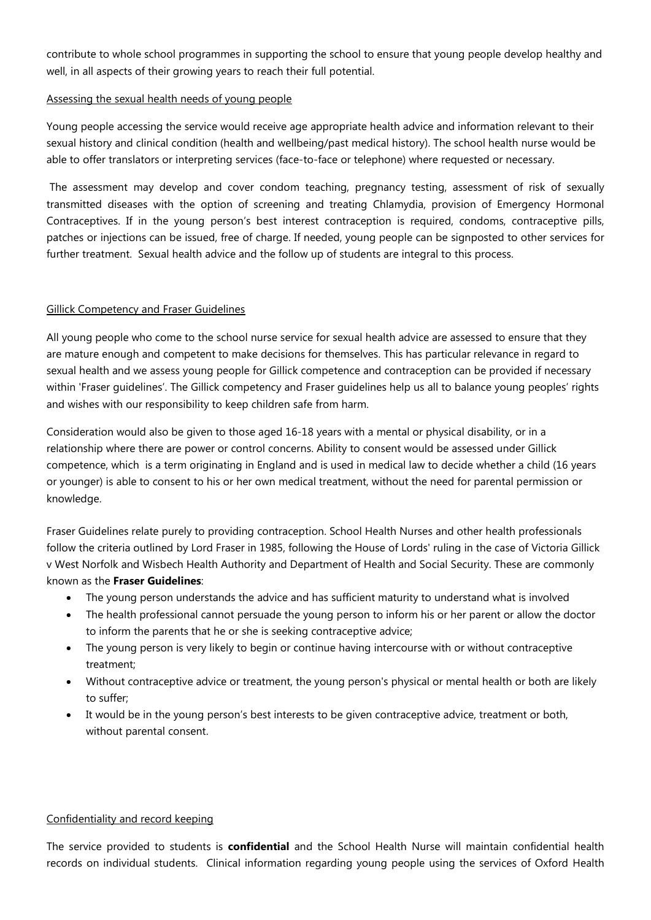contribute to whole school programmes in supporting the school to ensure that young people develop healthy and well, in all aspects of their growing years to reach their full potential.

## Assessing the sexual health needs of young people

Young people accessing the service would receive age appropriate health advice and information relevant to their sexual history and clinical condition (health and wellbeing/past medical history). The school health nurse would be able to offer translators or interpreting services (face-to-face or telephone) where requested or necessary.

The assessment may develop and cover condom teaching, pregnancy testing, assessment of risk of sexually transmitted diseases with the option of screening and treating Chlamydia, provision of Emergency Hormonal Contraceptives. If in the young person's best interest contraception is required, condoms, contraceptive pills, patches or injections can be issued, free of charge. If needed, young people can be signposted to other services for further treatment. Sexual health advice and the follow up of students are integral to this process.

# Gillick Competency and Fraser Guidelines

All young people who come to the school nurse service for sexual health advice are assessed to ensure that they are mature enough and competent to make decisions for themselves. This has particular relevance in regard to sexual health and we assess young people for Gillick competence and contraception can be provided if necessary within 'Fraser guidelines'. The Gillick competency and Fraser guidelines help us all to balance young peoples' rights and wishes with our responsibility to keep children safe from harm.

Consideration would also be given to those aged 16-18 years with a mental or physical disability, or in a relationship where there are power or control concerns. Ability to consent would be assessed under Gillick competence, which is a term originating in [England](http://en.wikipedia.org/wiki/England) and is used in [medical law](http://en.wikipedia.org/wiki/Medical_law) to decide whether a child (16 years or younger) is able to consent to his or her own medical treatment, without the need for parental permission or knowledge.

Fraser Guidelines relate purely to providing contraception. School Health Nurses and other health professionals follow the criteria outlined by Lord Fraser in 1985, following the House of Lords' ruling in the case of Victoria Gillick v West Norfolk and Wisbech Health Authority and Department of Health and Social Security. These are commonly known as the **Fraser Guidelines**:

- The young person understands the advice and has sufficient maturity to understand what is involved
- The health professional cannot persuade the young person to inform his or her parent or allow the doctor to inform the parents that he or she is seeking contraceptive advice;
- The young person is very likely to begin or continue having intercourse with or without contraceptive treatment;
- Without contraceptive advice or treatment, the young person's physical or mental health or both are likely to suffer;
- It would be in the young person's best interests to be given contraceptive advice, treatment or both, without parental consent.

# Confidentiality and record keeping

The service provided to students is **confidential** and the School Health Nurse will maintain confidential health records on individual students. Clinical information regarding young people using the services of Oxford Health